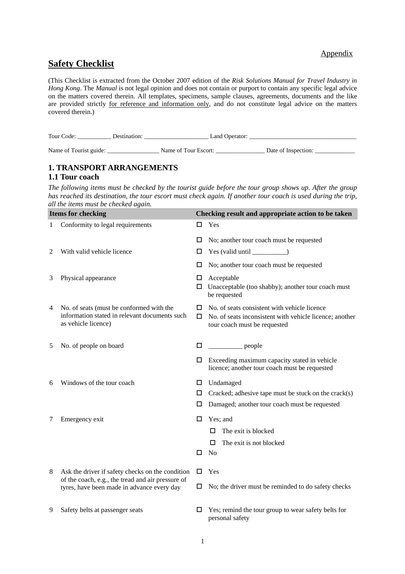### Appendix

## **Safety Checklist**

(This Checklist is extracted from the October 2007 edition of the *Risk Solutions Manual for Travel Industry in Hong Kong*. The *Manual* is not legal opinion and does not contain or purport to contain any specific legal advice on the matters covered therein. All templates, specimens, sample clauses, agreements, documents and the like are provided strictly for reference and information only, and do not constitute legal advice on the matters covered therein.)

| Tour Code:             | Destination: | Land Operator:       |                     |
|------------------------|--------------|----------------------|---------------------|
| Name of Tourist guide: |              | Name of Tour Escort: | Date of Inspection: |

## **1. TRANSPORT ARRANGEMENTS**

### **1.1 Tour coach**

*The following items must be checked by the tourist guide before the tour group shows up. After the group has reached its destination, the tour escort must check again. If another tour coach is used during the trip, all the items must be checked again.* 

| <b>Items for checking</b> |                                                                                                                  | Checking result and appropriate action to be taken |                                                                                                                                                                                                                                                                                                                                                                                                                      |  |
|---------------------------|------------------------------------------------------------------------------------------------------------------|----------------------------------------------------|----------------------------------------------------------------------------------------------------------------------------------------------------------------------------------------------------------------------------------------------------------------------------------------------------------------------------------------------------------------------------------------------------------------------|--|
| 1                         | Conformity to legal requirements                                                                                 | □                                                  | Yes                                                                                                                                                                                                                                                                                                                                                                                                                  |  |
|                           |                                                                                                                  | □                                                  | No; another tour coach must be requested                                                                                                                                                                                                                                                                                                                                                                             |  |
| 2                         | With valid vehicle licence                                                                                       | □                                                  |                                                                                                                                                                                                                                                                                                                                                                                                                      |  |
|                           |                                                                                                                  | □                                                  | No; another tour coach must be requested                                                                                                                                                                                                                                                                                                                                                                             |  |
| 3                         | Physical appearance                                                                                              | □<br>□                                             | Acceptable<br>Unacceptable (too shabby); another tour coach must<br>be requested                                                                                                                                                                                                                                                                                                                                     |  |
| 4                         | No. of seats (must be conformed with the<br>information stated in relevant documents such<br>as vehicle licence) | □<br>□                                             | No. of seats consistent with vehicle licence<br>No. of seats inconsistent with vehicle licence; another<br>tour coach must be requested                                                                                                                                                                                                                                                                              |  |
| 5                         | No. of people on board                                                                                           |                                                    | $\frac{1}{\sqrt{1-\frac{1}{2}}\sqrt{1-\frac{1}{2}}\sqrt{1-\frac{1}{2}}\sqrt{1-\frac{1}{2}}\sqrt{1-\frac{1}{2}}\sqrt{1-\frac{1}{2}}\sqrt{1-\frac{1}{2}}\sqrt{1-\frac{1}{2}}\sqrt{1-\frac{1}{2}}\sqrt{1-\frac{1}{2}}\sqrt{1-\frac{1}{2}}\sqrt{1-\frac{1}{2}}\sqrt{1-\frac{1}{2}}\sqrt{1-\frac{1}{2}}\sqrt{1-\frac{1}{2}}\sqrt{1-\frac{1}{2}}\sqrt{1-\frac{1}{2}}\sqrt{1-\frac{1}{2}}\sqrt{1-\frac{1}{2}}\sqrt{1-\frac$ |  |
|                           |                                                                                                                  | □                                                  | Exceeding maximum capacity stated in vehicle<br>licence; another tour coach must be requested                                                                                                                                                                                                                                                                                                                        |  |
| 6                         | Windows of the tour coach                                                                                        | □                                                  | Undamaged                                                                                                                                                                                                                                                                                                                                                                                                            |  |
|                           |                                                                                                                  | □                                                  | Cracked; adhesive tape must be stuck on the $crack(s)$                                                                                                                                                                                                                                                                                                                                                               |  |
|                           |                                                                                                                  | □                                                  | Damaged; another tour coach must be requested                                                                                                                                                                                                                                                                                                                                                                        |  |
| 7                         | Emergency exit                                                                                                   | □                                                  | Yes; and                                                                                                                                                                                                                                                                                                                                                                                                             |  |
|                           |                                                                                                                  |                                                    | The exit is blocked<br>□                                                                                                                                                                                                                                                                                                                                                                                             |  |
|                           |                                                                                                                  |                                                    | The exit is not blocked<br>□                                                                                                                                                                                                                                                                                                                                                                                         |  |
|                           |                                                                                                                  | □                                                  | N <sub>o</sub>                                                                                                                                                                                                                                                                                                                                                                                                       |  |
| 8                         | Ask the driver if safety checks on the condition                                                                 | □                                                  | Yes                                                                                                                                                                                                                                                                                                                                                                                                                  |  |
|                           | of the coach, e.g., the tread and air pressure of<br>tyres, have been made in advance every day                  | □                                                  | No; the driver must be reminded to do safety checks                                                                                                                                                                                                                                                                                                                                                                  |  |
| 9                         | Safety belts at passenger seats                                                                                  | □                                                  | Yes; remind the tour group to wear safety belts for<br>personal safety                                                                                                                                                                                                                                                                                                                                               |  |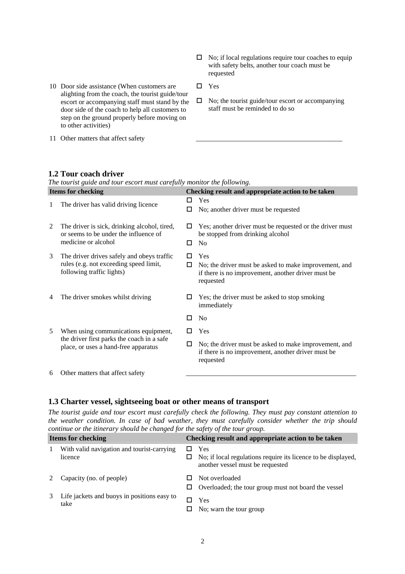- $\Box$  No; if local regulations require tour coaches to equip with safety belts, another tour coach must be requested
- 10 Door side assistance (When customers are  $\square$  Yes alighting from the coach, the tourist guide/tour escort or accompanying staff must stand by the door side of the coach to help all customers to step on the ground properly before moving on to other activities)
- 11 Other matters that affect safety
- 
- $\square$  No; the tourist guide/tour escort or accompanying staff must be reminded to do so

#### **1.2 Tour coach driver**

*The tourist guide and tour escort must carefully monitor the following.* 

| <b>Items for checking</b> |                                                                                                                            | Checking result and appropriate action to be taken |                                                                                                                                 |
|---------------------------|----------------------------------------------------------------------------------------------------------------------------|----------------------------------------------------|---------------------------------------------------------------------------------------------------------------------------------|
| 1                         | The driver has valid driving licence                                                                                       | ш<br>□                                             | Yes<br>No; another driver must be requested                                                                                     |
| 2                         | The driver is sick, drinking alcohol, tired,<br>or seems to be under the influence of<br>medicine or alcohol               | П<br>□                                             | Yes; another driver must be requested or the driver must<br>be stopped from drinking alcohol<br>N <sub>0</sub>                  |
| 3                         | The driver drives safely and obeys traffic<br>rules (e.g. not exceeding speed limit,<br>following traffic lights)          | □                                                  | Yes<br>No; the driver must be asked to make improvement, and<br>if there is no improvement, another driver must be<br>requested |
| 4                         | The driver smokes whilst driving                                                                                           | □                                                  | Yes; the driver must be asked to stop smoking<br>immediately                                                                    |
|                           |                                                                                                                            | □                                                  | N <sub>o</sub>                                                                                                                  |
| 5                         | When using communications equipment,<br>the driver first parks the coach in a safe<br>place, or uses a hand-free apparatus | п                                                  | Yes                                                                                                                             |
|                           |                                                                                                                            | □                                                  | No; the driver must be asked to make improvement, and<br>if there is no improvement, another driver must be<br>requested        |
| 6                         | Other matters that affect safety                                                                                           |                                                    |                                                                                                                                 |

#### **1.3 Charter vessel, sightseeing boat or other means of transport**

*The tourist guide and tour escort must carefully check the following. They must pay constant attention to the weather condition. In case of bad weather, they must carefully consider whether the trip should continue or the itinerary should be changed for the safety of the tour group.*

| <b>Items for checking</b> |                                                       | Checking result and appropriate action to be taken |                                                                                                          |
|---------------------------|-------------------------------------------------------|----------------------------------------------------|----------------------------------------------------------------------------------------------------------|
| 1                         | With valid navigation and tourist-carrying<br>licence |                                                    | Yes<br>No; if local regulations require its licence to be displayed,<br>another vessel must be requested |
|                           | Capacity (no. of people)                              | ப                                                  | Not overloaded<br>Overloaded; the tour group must not board the vessel                                   |
| 3                         | Life jackets and buoys in positions easy to<br>take   |                                                    | <b>Yes</b><br>No; warn the tour group                                                                    |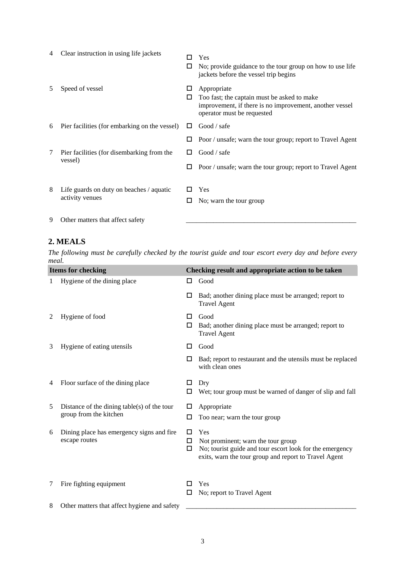| 4 | Clear instruction in using life jackets       | □      | Yes<br>No; provide guidance to the tour group on how to use life<br>jackets before the vessel trip begins                                           |
|---|-----------------------------------------------|--------|-----------------------------------------------------------------------------------------------------------------------------------------------------|
| 5 | Speed of vessel                               | ப<br>ப | Appropriate<br>Too fast; the captain must be asked to make<br>improvement, if there is no improvement, another vessel<br>operator must be requested |
| 6 | Pier facilities (for embarking on the vessel) | ш      | Good / safe                                                                                                                                         |
|   |                                               |        | Poor / unsafe; warn the tour group; report to Travel Agent                                                                                          |
| 7 | Pier facilities (for disembarking from the    | П      | Good / safe                                                                                                                                         |
|   | vessel)                                       |        | Poor / unsafe; warn the tour group; report to Travel Agent                                                                                          |
| 8 | Life guards on duty on beaches / aquatic      |        | Yes                                                                                                                                                 |
|   | activity venues                               |        | No; warn the tour group                                                                                                                             |
| 9 | Other matters that affect safety              |        |                                                                                                                                                     |

# **2. MEALS**

*The following must be carefully checked by the tourist guide and tour escort every day and before every meal.* 

|   | <b>Items for checking</b>                                  |             | Checking result and appropriate action to be taken                                                                                                             |  |
|---|------------------------------------------------------------|-------------|----------------------------------------------------------------------------------------------------------------------------------------------------------------|--|
| 1 | Hygiene of the dining place                                | ш           | Good                                                                                                                                                           |  |
|   |                                                            | □           | Bad; another dining place must be arranged; report to<br><b>Travel Agent</b>                                                                                   |  |
| 2 | Hygiene of food                                            | П<br>□      | Good<br>Bad; another dining place must be arranged; report to<br><b>Travel Agent</b>                                                                           |  |
| 3 | Hygiene of eating utensils                                 | П           | Good                                                                                                                                                           |  |
|   |                                                            |             | Bad; report to restaurant and the utensils must be replaced<br>with clean ones                                                                                 |  |
| 4 | Floor surface of the dining place                          | ப           | Dry                                                                                                                                                            |  |
|   |                                                            | □           | Wet; tour group must be warned of danger of slip and fall                                                                                                      |  |
| 5 | Distance of the dining table(s) of the tour                | □           | Appropriate                                                                                                                                                    |  |
|   | group from the kitchen                                     | □           | Too near; warn the tour group                                                                                                                                  |  |
| 6 | Dining place has emergency signs and fire<br>escape routes | □<br>□<br>□ | Yes<br>Not prominent; warn the tour group<br>No; tourist guide and tour escort look for the emergency<br>exits, warn the tour group and report to Travel Agent |  |
| 7 | Fire fighting equipment                                    | □           | Yes<br>No; report to Travel Agent                                                                                                                              |  |
| 8 | Other matters that affect hygiene and safety               |             |                                                                                                                                                                |  |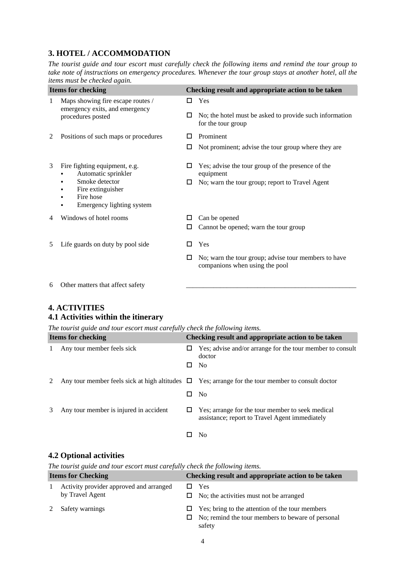## **3. HOTEL / ACCOMMODATION**

*The tourist guide and tour escort must carefully check the following items and remind the tour group to take note of instructions on emergency procedures. Whenever the tour group stays at another hotel, all the items must be checked again.*

| <b>Items for checking</b> |                                                                                          | Checking result and appropriate action to be taken |                                                                                        |
|---------------------------|------------------------------------------------------------------------------------------|----------------------------------------------------|----------------------------------------------------------------------------------------|
| 1                         | Maps showing fire escape routes /<br>emergency exits, and emergency<br>procedures posted | ш                                                  | Yes                                                                                    |
|                           |                                                                                          | □                                                  | No; the hotel must be asked to provide such information<br>for the tour group          |
| 2                         | Positions of such maps or procedures                                                     |                                                    | Prominent                                                                              |
|                           |                                                                                          | □                                                  | Not prominent; advise the tour group where they are                                    |
| 3                         | Fire fighting equipment, e.g.<br>Automatic sprinkler                                     | ப                                                  | Yes; advise the tour group of the presence of the<br>equipment                         |
|                           | Smoke detector<br>٠<br>Fire extinguisher<br>Fire hose<br>Emergency lighting system       | □                                                  | No; warn the tour group; report to Travel Agent                                        |
| 4                         | Windows of hotel rooms                                                                   | ⊔                                                  | Can be opened                                                                          |
|                           |                                                                                          | □                                                  | Cannot be opened; warn the tour group                                                  |
| 5                         | Life guards on duty by pool side                                                         |                                                    | Yes                                                                                    |
|                           |                                                                                          | ⊔                                                  | No; warn the tour group; advise tour members to have<br>companions when using the pool |
|                           | $\epsilon$ . Only we have the set of $\epsilon$ of $\epsilon$                            |                                                    |                                                                                        |

6 Other matters that affect safety

### **4. ACTIVITIES**

## **4.1 Activities within the itinerary**

*The tourist guide and tour escort must carefully check the following items.*

| <b>Items for checking</b> |                                        | Checking result and appropriate action to be taken |                                                                                                        |
|---------------------------|----------------------------------------|----------------------------------------------------|--------------------------------------------------------------------------------------------------------|
|                           | Any tour member feels sick             | ப                                                  | Yes; advise and/or arrange for the tour member to consult<br>doctor                                    |
|                           |                                        | ப                                                  | N <sub>0</sub>                                                                                         |
|                           |                                        |                                                    | Any tour member feels sick at high altitudes $\Box$ Yes; arrange for the tour member to consult doctor |
|                           |                                        | ப                                                  | N <sub>0</sub>                                                                                         |
|                           | Any tour member is injured in accident | ப                                                  | Yes; arrange for the tour member to seek medical<br>assistance; report to Travel Agent immediately     |
|                           |                                        |                                                    | N <sub>0</sub>                                                                                         |

## **4.2 Optional activities**

*The tourist guide and tour escort must carefully check the following items.* 

| <b>Items for Checking</b> |                                                            | Checking result and appropriate action to be taken |                                                                                                                |
|---------------------------|------------------------------------------------------------|----------------------------------------------------|----------------------------------------------------------------------------------------------------------------|
|                           | Activity provider approved and arranged<br>by Travel Agent |                                                    | Yes<br>$\Box$ No; the activities must not be arranged                                                          |
|                           | Safety warnings                                            | ப<br>ப                                             | Yes; bring to the attention of the tour members<br>No; remind the tour members to beware of personal<br>safety |